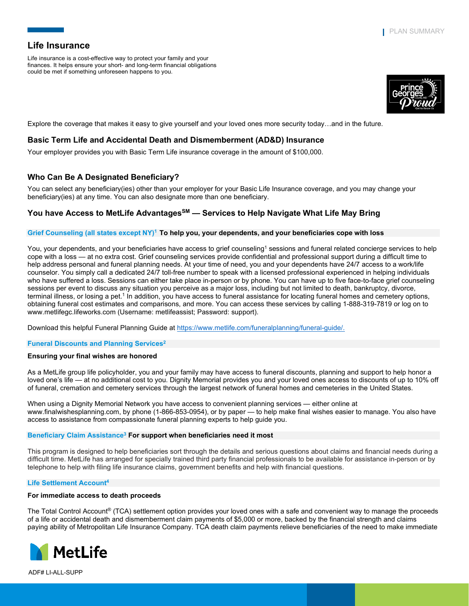Life insurance is a cost-effective way to protect your family and your finances. It helps ensure your short- and long-term financial obligations could be met if something unforeseen happens to you.



Explore the coverage that makes it easy to give yourself and your loved ones more security today…and in the future.

## **Basic Term Life and Accidental Death and Dismemberment (AD&D) Insurance**

Your employer provides you with Basic Term Life insurance coverage in the amount of \$100,000.

# **Who Can Be A Designated Beneficiary?**

You can select any beneficiary(ies) other than your employer for your Basic Life Insurance coverage, and you may change your beneficiary(ies) at any time. You can also designate more than one beneficiary.

## **You have Access to MetLife AdvantagesSM — Services to Help Navigate What Life May Bring**

#### **Grief Counseling (all states except NY)1 To help you, your dependents, and your beneficiaries cope with loss**

You, your dependents, and your beneficiaries have access to grief counseling<sup>1</sup> sessions and funeral related concierge services to help cope with a loss — at no extra cost. Grief counseling services provide confidential and professional support during a difficult time to help address personal and funeral planning needs. At your time of need, you and your dependents have 24/7 access to a work/life counselor. You simply call a dedicated 24/7 toll-free number to speak with a licensed professional experienced in helping individuals who have suffered a loss. Sessions can either take place in-person or by phone. You can have up to five face-to-face grief counseling sessions per event to discuss any situation you perceive as a major loss, including but not limited to death, bankruptcy, divorce, terminal illness, or losing a pet.<sup>1</sup> In addition, you have access to funeral assistance for locating funeral homes and cemetery options, obtaining funeral cost estimates and comparisons, and more. You can access these services by calling 1-888-319-7819 or log on to www.metlifegc.lifeworks.com (Username: metlifeassist; Password: support).

Download this helpful Funeral Planning Guide at [https://www.metlife.com/funeralplanning/funeral-guide/.](https://www.metlife.com/funeralplanning/funeral-guide/)

**Funeral Discounts and Planning Services2**

### **Ensuring your final wishes are honored**

As a MetLife group life policyholder, you and your family may have access to funeral discounts, planning and support to help honor a loved one's life — at no additional cost to you. Dignity Memorial provides you and your loved ones access to discounts of up to 10% off of funeral, cremation and cemetery services through the largest network of funeral homes and cemeteries in the United States.

When using a Dignity Memorial Network you have access to convenient planning services — either online at www.finalwishesplanning.com, by phone (1-866-853-0954), or by paper — to help make final wishes easier to manage. You also have access to assistance from compassionate funeral planning experts to help guide you.

#### **Beneficiary Claim Assistance3 For support when beneficiaries need it most**

This program is designed to help beneficiaries sort through the details and serious questions about claims and financial needs during a difficult time. MetLife has arranged for specially trained third party financial professionals to be available for assistance in-person or by telephone to help with filing life insurance claims, government benefits and help with financial questions.

#### **Life Settlement Account4**

#### **For immediate access to death proceeds**

The Total Control Account® (TCA) settlement option provides your loved ones with a safe and convenient way to manage the proceeds of a life or accidental death and dismemberment claim payments of \$5,000 or more, backed by the financial strength and claims paying ability of Metropolitan Life Insurance Company. TCA death claim payments relieve beneficiaries of the need to make immediate



ADF# LI-ALL-SUPP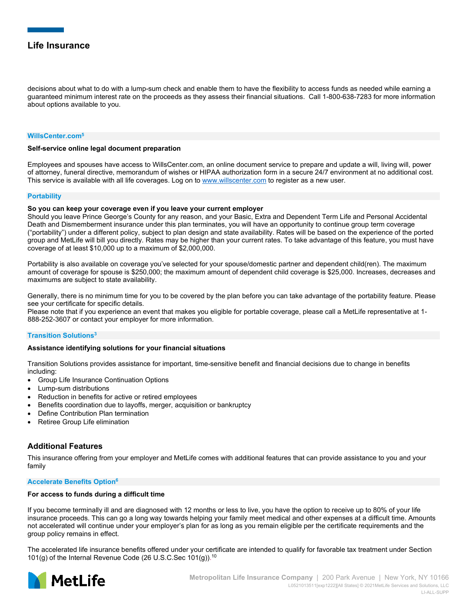decisions about what to do with a lump-sum check and enable them to have the flexibility to access funds as needed while earning a guaranteed minimum interest rate on the proceeds as they assess their financial situations. Call 1-800-638-7283 for more information about options available to you.

#### **WillsCenter.com5**

#### **Self-service online legal document preparation**

Employees and spouses have access to WillsCenter.com, an online document service to prepare and update a will, living will, power of attorney, funeral directive, memorandum of wishes or HIPAA authorization form in a secure 24/7 environment at no additional cost. This service is available with all life coverages. Log on to [www.willscenter.com](http://www.willscenter.com/) to register as a new user.

#### **Portability**

#### **So you can keep your coverage even if you leave your current employer**

Should you leave Prince George's County for any reason, and your Basic, Extra and Dependent Term Life and Personal Accidental Death and Dismemberment insurance under this plan terminates, you will have an opportunity to continue group term coverage ("portability") under a different policy, subject to plan design and state availability. Rates will be based on the experience of the ported group and MetLife will bill you directly. Rates may be higher than your current rates. To take advantage of this feature, you must have coverage of at least \$10,000 up to a maximum of \$2,000,000.

Portability is also available on coverage you've selected for your spouse/domestic partner and dependent child(ren). The maximum amount of coverage for spouse is \$250,000; the maximum amount of dependent child coverage is \$25,000. Increases, decreases and maximums are subject to state availability.

Generally, there is no minimum time for you to be covered by the plan before you can take advantage of the portability feature. Please see your certificate for specific details.

Please note that if you experience an event that makes you eligible for portable coverage, please call a MetLife representative at 1- 888-252-3607 or contact your employer for more information.

#### **Transition Solutions3**

#### **Assistance identifying solutions for your financial situations**

Transition Solutions provides assistance for important, time-sensitive benefit and financial decisions due to change in benefits including:

- Group Life Insurance Continuation Options
- Lump-sum distributions
- Reduction in benefits for active or retired employees
- Benefits coordination due to layoffs, merger, acquisition or bankruptcy
- Define Contribution Plan termination
- Retiree Group Life elimination

## **Additional Features**

This insurance offering from your employer and MetLife comes with additional features that can provide assistance to you and your family

#### **Accelerate Benefits Option6**

#### **For access to funds during a difficult time**

If you become terminally ill and are diagnosed with 12 months or less to live, you have the option to receive up to 80% of your life insurance proceeds. This can go a long way towards helping your family meet medical and other expenses at a difficult time. Amounts not accelerated will continue under your employer's plan for as long as you remain eligible per the certificate requirements and the group policy remains in effect.

The accelerated life insurance benefits offered under your certificate are intended to qualify for favorable tax treatment under Section 101(g) of the Internal Revenue Code (26 U.S.C.Sec 101(g)). 10

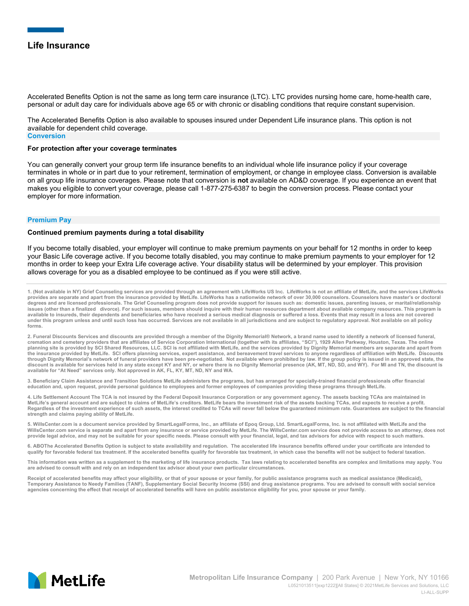Accelerated Benefits Option is not the same as long term care insurance (LTC). LTC provides nursing home care, home-health care, personal or adult day care for individuals above age 65 or with chronic or disabling conditions that require constant supervision.

The Accelerated Benefits Option is also available to spouses insured under Dependent Life insurance plans. This option is not available for dependent child coverage. **Conversion**

#### **For protection after your coverage terminates**

You can generally convert your group term life insurance benefits to an individual whole life insurance policy if your coverage terminates in whole or in part due to your retirement, termination of employment, or change in employee class. Conversion is available on all group life insurance coverages. Please note that conversion is **not** available on AD&D coverage. If you experience an event that makes you eligible to convert your coverage, please call 1-877-275-6387 to begin the conversion process. Please contact your employer for more information.

#### **Premium Pay**

#### **Continued premium payments during a total disability**

If you become totally disabled, your employer will continue to make premium payments on your behalf for 12 months in order to keep your Basic Life coverage active. If you become totally disabled, you may continue to make premium payments to your employer for 12 months in order to keep your Extra Life coverage active. Your disability status will be determined by your employer. This provision allows coverage for you as a disabled employee to be continued as if you were still active.

**1. (Not available in NY) Grief Counseling services are provided through an agreement with LifeWorks US Inc. LifeWorks is not an affiliate of MetLife, and the services LifeWorks provides are separate and apart from the insurance provided by MetLife. LifeWorks has a nationwide network of over 30,000 counselors. Counselors have master's or doctoral degrees and are licensed professionals. The Grief Counseling program does not provide support for issues such as: domestic issues, parenting issues, or marital/relationship issues (other than a finalized divorce). For such issues, members should inquire with their human resources department about available company resources. This program is available to insureds, their dependents and beneficiaries who have received a serious medical diagnosis or suffered a loss. Events that may result in a loss are not covered under this program unless and until such loss has occurred. Services are not available in all jurisdictions and are subject to regulatory approval. Not available on all policy forms.**

2. Funeral Discounts Services and discounts are provided through a member of the Dignity Memorial® Network, a brand name used to identify a network of licensed funeral,<br>cremation and cemetery providers that are affiliates **planning site is provided by SCI Shared Resources, LLC. SCI is not affiliated with MetLife, and the services provided by Dignity Memorial members are separate and apart from the insurance provided by MetLife. SCI offers planning services, expert assistance, and bereavement travel services to anyone regardless of affiliation with MetLife. Discounts through Dignity Memorial's network of funeral providers have been pre-negotiated. Not available where prohibited by law. If the group policy is issued in an approved state, the discount is available for services held in any state except KY and NY, or where there is no Dignity Memorial presence (AK, MT, ND, SD, and WY). For MI and TN, the discount is available for "At Need" services only. Not approved in AK, FL, KY, MT, ND, NY and WA.**

**3. Beneficiary Claim Assistance and Transition Solutions MetLife administers the programs, but has arranged for specially-trained financial professionals offer financial education and, upon request, provide personal guidance to employees and former employees of companies providing these programs through MetLife.**

**4. Life Settlement Account The TCA is not insured by the Federal Deposit Insurance Corporation or any government agency. The assets backing TCAs are maintained in MetLife's general account and are subject to claims of MetLife's creditors. MetLife bears the investment risk of the assets backing TCAs, and expects to receive a profit. Regardless of the investment experience of such assets, the interest credited to TCAs will never fall below the guaranteed minimum rate. Guarantees are subject to the financial strength and claims paying ability of MetLife.**

5. WillsCenter.com is a document service provided by SmartLegalForms, Inc., an affiliate of Epoq Group, Ltd. SmartLegalForms, Inc. is not affiliated with MetLife and the<br>WillsCenter.com service is separate and apart from a **provide legal advice, and may not be suitable for your specific needs. Please consult with your financial, legal, and tax advisors for advice with respect to such matters.**

**6. ABOThe Accelerated Benefits Option is subject to state availability and regulation. The accelerated life insurance benefits offered under your certificate are intended to qualify for favorable federal tax treatment. If the accelerated benefits qualify for favorable tax treatment, in which case the benefits will not be subject to federal taxation.** 

**This information was written as a supplement to the marketing of life insurance products. Tax laws relating to accelerated benefits are complex and limitations may apply. You are advised to consult with and rely on an independent tax advisor about your own particular circumstances.** 

Receipt of accelerated benefits may affect your eligibility, or that of your spouse or your family, for public assistance programs such as medical assistance (Medicaid), Temporary Assistance to Needy Families (TANF), Supplementary Social Security Income (SSI) and drug assistance programs. You are advised to consult with social service<br>agencies concerning the effect that receipt of accelera